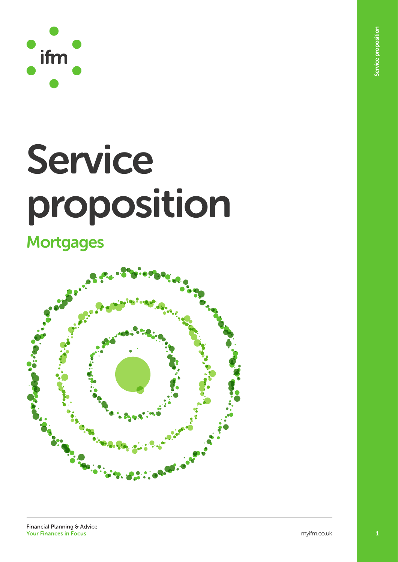

## Service proposition

**Mortgages** 



Service proposition

Service proposition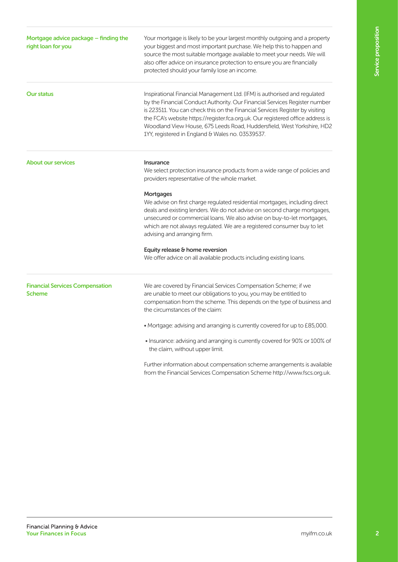| Mortgage advice package - finding the<br>right loan for you | Your mortgage is likely to be your largest monthly outgoing and a property<br>your biggest and most important purchase. We help this to happen and<br>source the most suitable mortgage available to meet your needs. We will<br>also offer advice on insurance protection to ensure you are financially<br>protected should your family lose an income.                                                                                                 |  |
|-------------------------------------------------------------|----------------------------------------------------------------------------------------------------------------------------------------------------------------------------------------------------------------------------------------------------------------------------------------------------------------------------------------------------------------------------------------------------------------------------------------------------------|--|
| <b>Our status</b>                                           | Inspirational Financial Management Ltd. (IFM) is authorised and regulated<br>by the Financial Conduct Authority. Our Financial Services Register number<br>is 223511. You can check this on the Financial Services Register by visiting<br>the FCA's website https://register.fca.org.uk. Our registered office address is<br>Woodland View House, 675 Leeds Road, Huddersfield, West Yorkshire, HD2<br>1YY, registered in England & Wales no. 03539537. |  |
| <b>About our services</b>                                   | <b>Insurance</b><br>We select protection insurance products from a wide range of policies and<br>providers representative of the whole market.                                                                                                                                                                                                                                                                                                           |  |
|                                                             | <b>Mortgages</b><br>We advise on first charge regulated residential mortgages, including direct<br>deals and existing lenders. We do not advise on second charge mortgages,<br>unsecured or commercial loans. We also advise on buy-to-let mortgages,<br>which are not always regulated. We are a registered consumer buy to let<br>advising and arranging firm.                                                                                         |  |
|                                                             | Equity release & home reversion<br>We offer advice on all available products including existing loans.                                                                                                                                                                                                                                                                                                                                                   |  |
| <b>Financial Services Compensation</b><br><b>Scheme</b>     | We are covered by Financial Services Compensation Scheme; if we<br>are unable to meet our obligations to you, you may be entitled to<br>compensation from the scheme. This depends on the type of business and<br>the circumstances of the claim:                                                                                                                                                                                                        |  |
|                                                             | • Mortgage: advising and arranging is currently covered for up to £85,000.                                                                                                                                                                                                                                                                                                                                                                               |  |
|                                                             | . Insurance: advising and arranging is currently covered for 90% or 100% of<br>the claim, without upper limit.                                                                                                                                                                                                                                                                                                                                           |  |
|                                                             | Further information about compensation scheme arrangements is available<br>from the Financial Services Compensation Scheme http://www.fscs.org.uk.                                                                                                                                                                                                                                                                                                       |  |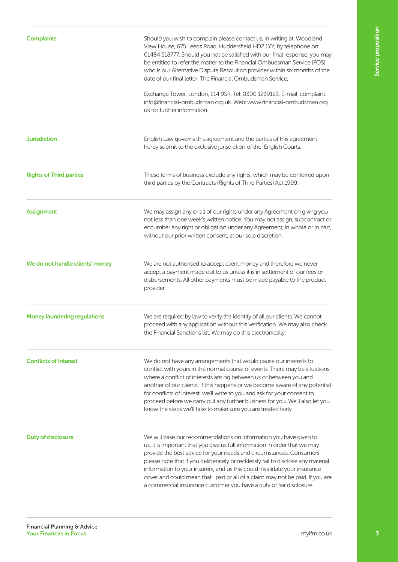| <b>Complaints</b>                   | Should you wish to complain please contact us, in writing at: Woodland<br>View House, 675 Leeds Road, Huddersfield HD2 1YY; by telephone on:<br>01484 518777. Should you not be satisfied with our final response, you may<br>be entitled to refer the matter to the Financial Ombudsman Service (FOS)<br>who is our Alternative Dispute Resolution provider within six months of the<br>date of our final letter: The Financial Ombudsman Service,                                                                                             |  |  |
|-------------------------------------|-------------------------------------------------------------------------------------------------------------------------------------------------------------------------------------------------------------------------------------------------------------------------------------------------------------------------------------------------------------------------------------------------------------------------------------------------------------------------------------------------------------------------------------------------|--|--|
|                                     | Exchange Tower, London, E14 9SR. Tel: 0300 1239123. E-mail: complaint.<br>info@financial-ombudsman.org.uk. Web: www.financial-ombudsman.org.<br>uk for further information.                                                                                                                                                                                                                                                                                                                                                                     |  |  |
| <b>Jurisdiction</b>                 | English Law governs this agreement and the parties of this agreement<br>herby submit to the exclusive jurisdiction of the English Courts.                                                                                                                                                                                                                                                                                                                                                                                                       |  |  |
| <b>Rights of Third parties</b>      | These terms of business exclude any rights, which may be conferred upon<br>third parties by the Contracts (Rights of Third Parties) Act 1999.                                                                                                                                                                                                                                                                                                                                                                                                   |  |  |
| <b>Assignment</b>                   | We may assign any or all of our rights under any Agreement on giving you<br>not less than one week's written notice. You may not assign, subcontract or<br>encumber any right or obligation under any Agreement, in whole or in part,<br>without our prior written consent, at our sole discretion.                                                                                                                                                                                                                                             |  |  |
| We do not handle clients' money     | We are not authorised to accept client money and therefore we never<br>accept a payment made out to us unless it is in settlement of our fees or<br>disbursements. All other payments must be made payable to the product<br>provider.                                                                                                                                                                                                                                                                                                          |  |  |
| <b>Money laundering regulations</b> | We are required by law to verify the identity of all our clients. We cannot<br>proceed with any application without this verification. We may also check<br>the Financial Sanctions list. We may do this electronically.                                                                                                                                                                                                                                                                                                                        |  |  |
| <b>Conflicts of Interest</b>        | We do not have any arrangements that would cause our interests to<br>conflict with yours in the normal course of events. There may be situations<br>where a conflict of interests arising between us or between you and<br>another of our clients; if this happens or we become aware of any potential<br>for conflicts of interest, we'll write to you and ask for your consent to<br>proceed before we carry out any further business for you. We'll also let you<br>know the steps we'll take to make sure you are treated fairly.           |  |  |
| <b>Duty of disclosure</b>           | We will base our recommendations on information you have given to<br>us, it is important that you give us full information in order that we may<br>provide the best advice for your needs and circumstances. Consumers:<br>please note that if you deliberately or recklessly fail to disclose any material<br>information to your insurers, and us this could invalidate your insurance<br>cover and could mean that part or all of a claim may not be paid. If you are<br>a commercial insurance customer you have a duty of fair disclosure. |  |  |